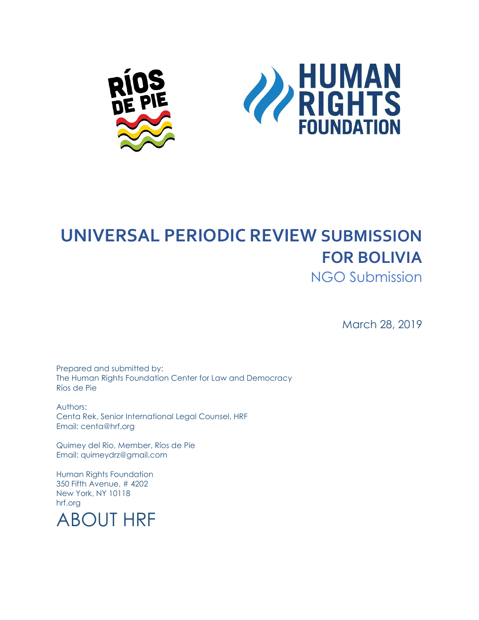



#### **UNIVERSAL PERIODIC REVIEW SUBMISSION FOR BOLIVIA**

NGO Submission

March 28, 2019

Prepared and submitted by: The Human Rights Foundation Center for Law and Democracy Ríos de Pie

Authors: Centa Rek, Senior International Legal Counsel, HRF Email: centa@hrf.org

Quimey del Rio, Member, Ríos de Pie Email: quimeydrz@gmail.com

Human Rights Foundation 350 Fifth Avenue, # 4202 New York, NY 10118 hrf.org

ABOUT HRF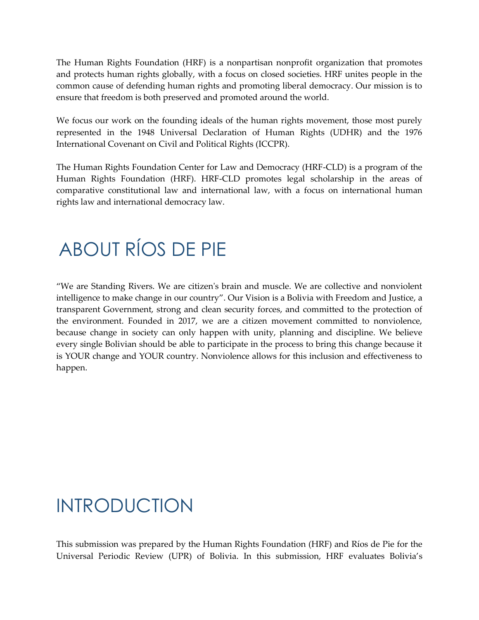The Human Rights Foundation (HRF) is a nonpartisan nonprofit organization that promotes and protects human rights globally, with a focus on closed societies. HRF unites people in the common cause of defending human rights and promoting liberal democracy. Our mission is to ensure that freedom is both preserved and promoted around the world.

We focus our work on the founding ideals of the human rights movement, those most purely represented in the 1948 Universal Declaration of Human Rights (UDHR) and the 1976 International Covenant on Civil and Political Rights (ICCPR).

The Human Rights Foundation Center for Law and Democracy (HRF-CLD) is a program of the Human Rights Foundation (HRF). HRF-CLD promotes legal scholarship in the areas of comparative constitutional law and international law, with a focus on international human rights law and international democracy law.

# ABOUT RÍOS DE PIE

"We are Standing Rivers. We are citizen's brain and muscle. We are collective and nonviolent intelligence to make change in our country". Our Vision is a Bolivia with Freedom and Justice, a transparent Government, strong and clean security forces, and committed to the protection of the environment. Founded in 2017, we are a citizen movement committed to nonviolence, because change in society can only happen with unity, planning and discipline. We believe every single Bolivian should be able to participate in the process to bring this change because it is YOUR change and YOUR country. Nonviolence allows for this inclusion and effectiveness to happen.

#### INTRODUCTION

This submission was prepared by the Human Rights Foundation (HRF) and Ríos de Pie for the Universal Periodic Review (UPR) of Bolivia. In this submission, HRF evaluates Bolivia's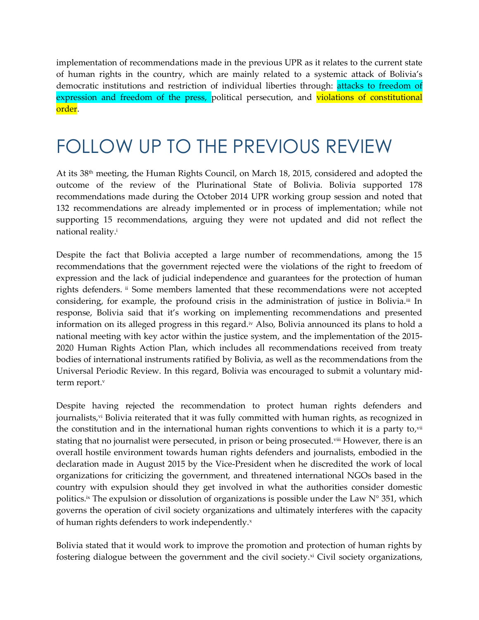implementation of recommendations made in the previous UPR as it relates to the current state of human rights in the country, which are mainly related to a systemic attack of Bolivia's democratic institutions and restriction of individual liberties through: attacks to freedom of expression and freedom of the press, political persecution, and violations of constitutional order.

## FOLLOW UP TO THE PREVIOUS REVIEW

At its 38th meeting, the Human Rights Council, on March 18, 2015, considered and adopted the outcome of the review of the Plurinational State of Bolivia. Bolivia supported 178 recommendations made during the October 2014 UPR working group session and noted that 132 recommendations are already implemented or in process of implementation; while not supporting 15 recommendations, arguing they were not updated and did not reflect the national reality.<sup>i</sup>

Despite the fact that Bolivia accepted a large number of recommendations, among the 15 recommendations that the government rejected were the violations of the right to freedom of expression and the lack of judicial independence and guarantees for the protection of human rights defenders. ii Some members lamented that these recommendations were not accepted considering, for example, the profound crisis in the administration of justice in Bolivia.<sup>iii</sup> In response, Bolivia said that it's working on implementing recommendations and presented information on its alleged progress in this regard.<sup>iv</sup> Also, Bolivia announced its plans to hold a national meeting with key actor within the justice system, and the implementation of the 2015- 2020 Human Rights Action Plan, which includes all recommendations received from treaty bodies of international instruments ratified by Bolivia, as well as the recommendations from the Universal Periodic Review. In this regard, Bolivia was encouraged to submit a voluntary midterm report.<sup>v</sup>

Despite having rejected the recommendation to protect human rights defenders and journalists,<sup>vi</sup> Bolivia reiterated that it was fully committed with human rights, as recognized in the constitution and in the international human rights conventions to which it is a party to,<sup>vii</sup> stating that no journalist were persecuted, in prison or being prosecuted.<sup>viii</sup> However, there is an overall hostile environment towards human rights defenders and journalists, embodied in the declaration made in August 2015 by the Vice-President when he discredited the work of local organizations for criticizing the government, and threatened international NGOs based in the country with expulsion should they get involved in what the authorities consider domestic politics.<sup>ix</sup> The expulsion or dissolution of organizations is possible under the Law  $N^{\circ}$  351, which governs the operation of civil society organizations and ultimately interferes with the capacity of human rights defenders to work independently.x

Bolivia stated that it would work to improve the promotion and protection of human rights by fostering dialogue between the government and the civil society. $\alpha$  Civil society organizations,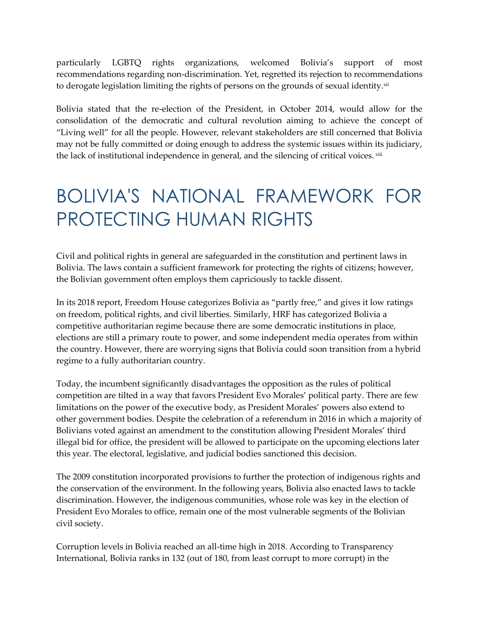particularly LGBTQ rights organizations, welcomed Bolivia's support of most recommendations regarding non-discrimination. Yet, regretted its rejection to recommendations to derogate legislation limiting the rights of persons on the grounds of sexual identity.xii

Bolivia stated that the re-election of the President, in October 2014, would allow for the consolidation of the democratic and cultural revolution aiming to achieve the concept of "Living well" for all the people. However, relevant stakeholders are still concerned that Bolivia may not be fully committed or doing enough to address the systemic issues within its judiciary, the lack of institutional independence in general, and the silencing of critical voices.  $^{\mathrm{xiii}}$ 

## BOLIVIA'S NATIONAL FRAMEWORK FOR PROTECTING HUMAN RIGHTS

Civil and political rights in general are safeguarded in the constitution and pertinent laws in Bolivia. The laws contain a sufficient framework for protecting the rights of citizens; however, the Bolivian government often employs them capriciously to tackle dissent.

In its 2018 report, Freedom House categorizes Bolivia as "partly free," and gives it low ratings on freedom, political rights, and civil liberties. Similarly, HRF has categorized Bolivia a competitive authoritarian regime because there are some democratic institutions in place, elections are still a primary route to power, and some independent media operates from within the country. However, there are worrying signs that Bolivia could soon transition from a hybrid regime to a fully authoritarian country.

Today, the incumbent significantly disadvantages the opposition as the rules of political competition are tilted in a way that favors President Evo Morales' political party. There are few limitations on the power of the executive body, as President Morales' powers also extend to other government bodies. Despite the celebration of a referendum in 2016 in which a majority of Bolivians voted against an amendment to the constitution allowing President Morales' third illegal bid for office, the president will be allowed to participate on the upcoming elections later this year. The electoral, legislative, and judicial bodies sanctioned this decision.

The 2009 constitution incorporated provisions to further the protection of indigenous rights and the conservation of the environment. In the following years, Bolivia also enacted laws to tackle discrimination. However, the indigenous communities, whose role was key in the election of President Evo Morales to office, remain one of the most vulnerable segments of the Bolivian civil society.

Corruption levels in Bolivia reached an all-time high in 2018. According to Transparency International, Bolivia ranks in 132 (out of 180, from least corrupt to more corrupt) in the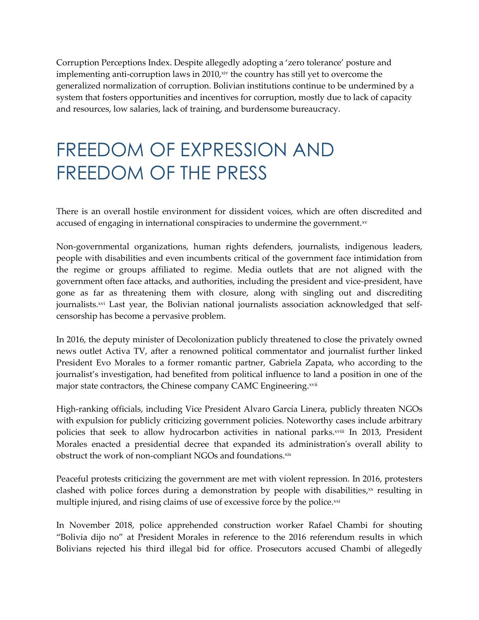Corruption Perceptions Index. Despite allegedly adopting a 'zero tolerance' posture and implementing anti-corruption laws in  $2010<sub>x</sub>$  in the country has still yet to overcome the generalized normalization of corruption. Bolivian institutions continue to be undermined by a system that fosters opportunities and incentives for corruption, mostly due to lack of capacity and resources, low salaries, lack of training, and burdensome bureaucracy.

# FREEDOM OF EXPRESSION AND FREEDOM OF THE PRESS

There is an overall hostile environment for dissident voices, which are often discredited and accused of engaging in international conspiracies to undermine the government.xv

Non-governmental organizations, human rights defenders, journalists, indigenous leaders, people with disabilities and even incumbents critical of the government face intimidation from the regime or groups affiliated to regime. Media outlets that are not aligned with the government often face attacks, and authorities, including the president and vice-president, have gone as far as threatening them with closure, along with singling out and discrediting journalists.<sup>xvi</sup> Last year, the Bolivian national journalists association acknowledged that selfcensorship has become a pervasive problem.

In 2016, the deputy minister of Decolonization publicly threatened to close the privately owned news outlet Activa TV, after a renowned political commentator and journalist further linked President Evo Morales to a former romantic partner, Gabriela Zapata, who according to the journalist's investigation, had benefited from political influence to land a position in one of the major state contractors, the Chinese company CAMC Engineering.<sup>xvii</sup>

High-ranking officials, including Vice President Alvaro García Linera, publicly threaten NGOs with expulsion for publicly criticizing government policies. Noteworthy cases include arbitrary policies that seek to allow hydrocarbon activities in national parks.<sup>xviii</sup> In 2013, President Morales enacted a presidential decree that expanded its administration's overall ability to obstruct the work of non-compliant NGOs and foundations.xix

Peaceful protests criticizing the government are met with violent repression. In 2016, protesters clashed with police forces during a demonstration by people with disabilities, $\infty$  resulting in multiple injured, and rising claims of use of excessive force by the police.<sup>xxi</sup>

In November 2018, police apprehended construction worker Rafael Chambi for shouting "Bolivia dijo no" at President Morales in reference to the 2016 referendum results in which Bolivians rejected his third illegal bid for office. Prosecutors accused Chambi of allegedly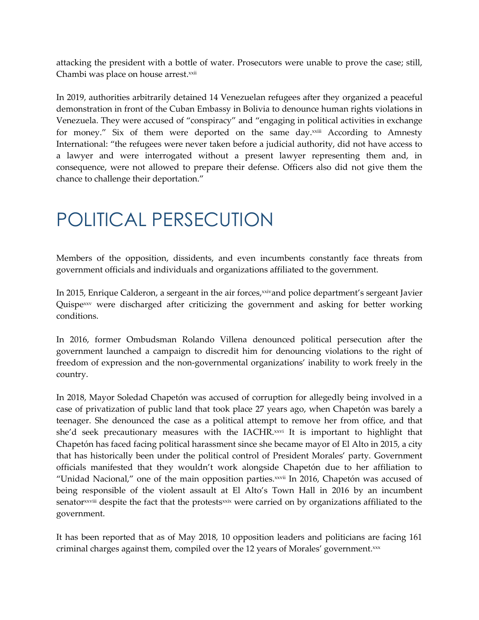attacking the president with a bottle of water. Prosecutors were unable to prove the case; still, Chambi was place on house arrest.<sup>xxii</sup>

In 2019, authorities arbitrarily detained 14 Venezuelan refugees after they organized a peaceful demonstration in front of the Cuban Embassy in Bolivia to denounce human rights violations in Venezuela. They were accused of "conspiracy" and "engaging in political activities in exchange for money." Six of them were deported on the same day.<sup>xxiii</sup> According to Amnesty International: "the refugees were never taken before a judicial authority, did not have access to a lawyer and were interrogated without a present lawyer representing them and, in consequence, were not allowed to prepare their defense. Officers also did not give them the chance to challenge their deportation."

# POLITICAL PERSECUTION

Members of the opposition, dissidents, and even incumbents constantly face threats from government officials and individuals and organizations affiliated to the government.

In 2015, Enrique Calderon, a sergeant in the air forces, xxivand police department's sergeant Javier Quispe<sup>xxv</sup> were discharged after criticizing the government and asking for better working conditions.

In 2016, former Ombudsman Rolando Villena denounced political persecution after the government launched a campaign to discredit him for denouncing violations to the right of freedom of expression and the non-governmental organizations' inability to work freely in the country.

In 2018, Mayor Soledad Chapetón was accused of corruption for allegedly being involved in a case of privatization of public land that took place 27 years ago, when Chapetón was barely a teenager. She denounced the case as a political attempt to remove her from office, and that she'd seek precautionary measures with the IACHR.xxvi It is important to highlight that Chapetón has faced facing political harassment since she became mayor of El Alto in 2015, a city that has historically been under the political control of President Morales' party. Government officials manifested that they wouldn't work alongside Chapetón due to her affiliation to "Unidad Nacional," one of the main opposition parties. $x$ <sup>xxii</sup> In 2016, Chapetón was accused of being responsible of the violent assault at El Alto's Town Hall in 2016 by an incumbent senatorxxviii despite the fact that the protestsxxix were carried on by organizations affiliated to the government.

It has been reported that as of May 2018, 10 opposition leaders and politicians are facing 161 criminal charges against them, compiled over the 12 years of Morales' government. $xx$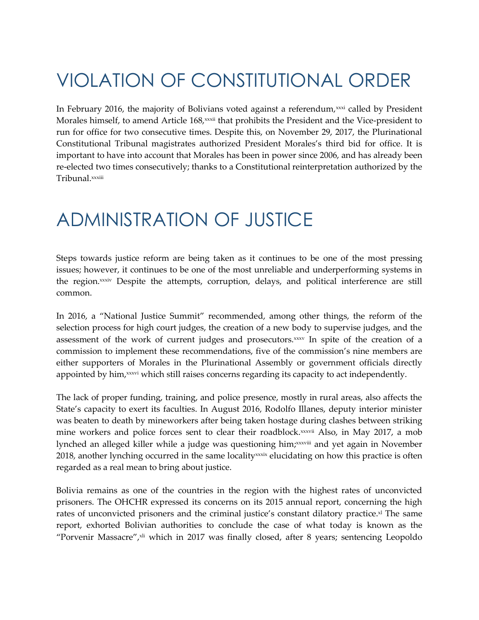# VIOLATION OF CONSTITUTIONAL ORDER

In February 2016, the majority of Bolivians voted against a referendum, $xxxi$  called by President Morales himself, to amend Article 168,<sup>xxxii</sup> that prohibits the President and the Vice-president to run for office for two consecutive times. Despite this, on November 29, 2017, the Plurinational Constitutional Tribunal magistrates authorized President Morales's third bid for office. It is important to have into account that Morales has been in power since 2006, and has already been re-elected two times consecutively; thanks to a Constitutional reinterpretation authorized by the Tribunal.xxxiii

#### ADMINISTRATION OF JUSTICE

Steps towards justice reform are being taken as it continues to be one of the most pressing issues; however, it continues to be one of the most unreliable and underperforming systems in the region.xxxiv Despite the attempts, corruption, delays, and political interference are still common.

In 2016, a "National Justice Summit" recommended, among other things, the reform of the selection process for high court judges, the creation of a new body to supervise judges, and the assessment of the work of current judges and prosecutors.<sup>xxxv</sup> In spite of the creation of a commission to implement these recommendations, five of the commission's nine members are either supporters of Morales in the Plurinational Assembly or government officials directly appointed by him, xxxvi which still raises concerns regarding its capacity to act independently.

The lack of proper funding, training, and police presence, mostly in rural areas, also affects the State's capacity to exert its faculties. In August 2016, Rodolfo Illanes, deputy interior minister was beaten to death by mineworkers after being taken hostage during clashes between striking mine workers and police forces sent to clear their roadblock.<sup>xxxvii</sup> Also, in May 2017, a mob lynched an alleged killer while a judge was questioning him;¤¤viii and yet again in November 2018, another lynching occurred in the same locality<sup>xxxix</sup> elucidating on how this practice is often regarded as a real mean to bring about justice.

Bolivia remains as one of the countries in the region with the highest rates of unconvicted prisoners. The OHCHR expressed its concerns on its 2015 annual report, concerning the high rates of unconvicted prisoners and the criminal justice's constant dilatory practice.<sup>xl</sup> The same report, exhorted Bolivian authorities to conclude the case of what today is known as the "Porvenir Massacre", xli which in 2017 was finally closed, after 8 years; sentencing Leopoldo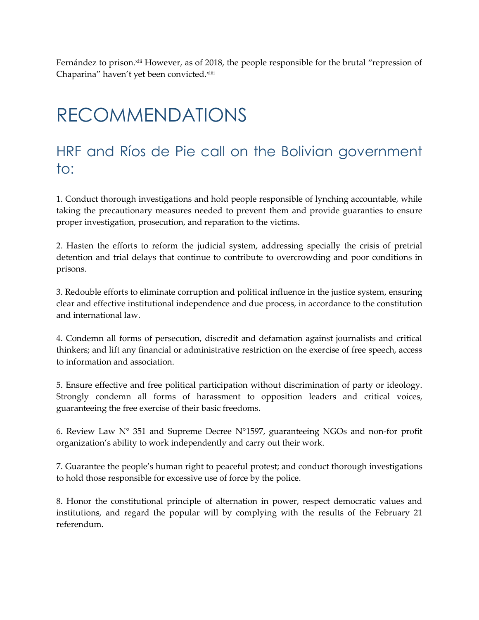Fernández to prison. Xiii However, as of 2018, the people responsible for the brutal "repression of Chaparina" haven't yet been convicted.xliii

## RECOMMENDATIONS

#### HRF and Ríos de Pie call on the Bolivian government to:

1. Conduct thorough investigations and hold people responsible of lynching accountable, while taking the precautionary measures needed to prevent them and provide guaranties to ensure proper investigation, prosecution, and reparation to the victims.

2. Hasten the efforts to reform the judicial system, addressing specially the crisis of pretrial detention and trial delays that continue to contribute to overcrowding and poor conditions in prisons.

3. Redouble efforts to eliminate corruption and political influence in the justice system, ensuring clear and effective institutional independence and due process, in accordance to the constitution and international law.

4. Condemn all forms of persecution, discredit and defamation against journalists and critical thinkers; and lift any financial or administrative restriction on the exercise of free speech, access to information and association.

5. Ensure effective and free political participation without discrimination of party or ideology. Strongly condemn all forms of harassment to opposition leaders and critical voices, guaranteeing the free exercise of their basic freedoms.

6. Review Law  $N^{\circ}$  351 and Supreme Decree  $N^{\circ}1597$ , guaranteeing NGOs and non-for profit organization's ability to work independently and carry out their work.

7. Guarantee the people's human right to peaceful protest; and conduct thorough investigations to hold those responsible for excessive use of force by the police.

8. Honor the constitutional principle of alternation in power, respect democratic values and institutions, and regard the popular will by complying with the results of the February 21 referendum.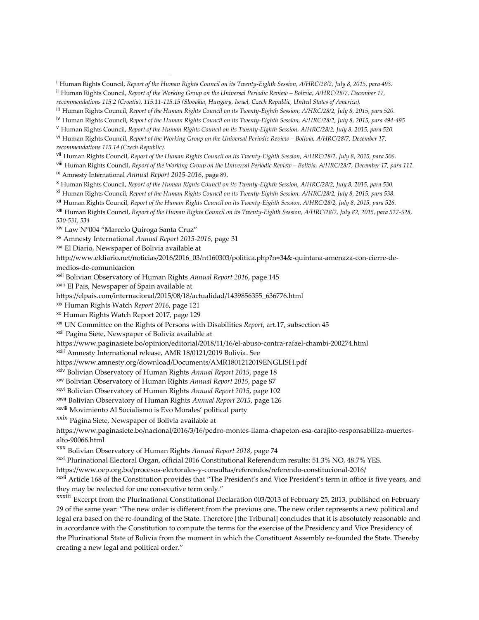vii Human Rights Council, *Report of the Human Rights Council on its Twenty-Eighth Session, A/HRC/28/2, July 8, 2015, para 506.*

viii Human Rights Council, *Report of the Working Group on the Universal Periodic Review - Bolivia, A/HRC/28/7, December 17, para 111.* ix Amnesty International *Annual Report 2015-2016*, page 89.

<sup>x</sup> Human Rights Council, *Report of the Human Rights Council on its Twenty-Eighth Session, A/HRC/28/2, July 8, 2015, para 530.*

xi Human Rights Council, *Report of the Human Rights Council on its Twenty-Eighth Session, A/HRC/28/2, July 8, 2015, para 538.*

xii Human Rights Council, *Report of the Human Rights Council on its Twenty-Eighth Session, A/HRC/28/2, July 8, 2015, para 526.*

xiii Human Rights Council, *Report of the Human Rights Council on its Twenty-Eighth Session, A/HRC/28/2, July 82, 2015, para 527-528, 530-531, 534*

xiv Law N°004 "Marcelo Quiroga Santa Cruz"

xv Amnesty International *Annual Report 2015-2016*, page 31

xvi El Diario, Newspaper of Bolivia available at

http://www.eldiario.net/noticias/2016/2016\_03/nt160303/politica.php?n=34&-quintana-amenaza-con-cierre-demedios-de-comunicacion

xvii Bolivian Observatory of Human Rights *Annual Report 2016*, page 145

xviii El Pais, Newspaper of Spain available at

https://elpais.com/internacional/2015/08/18/actualidad/1439856355\_636776.html

xix Human Rights Watch *Report 2016*, page 121

xx Human Rights Watch Report 2017, page 129

xxi UN Committee on the Rights of Persons with Disabilities *Report*, art.17, subsection 45

xxii Pagina Siete, Newspaper of Bolivia available at

https://www.paginasiete.bo/opinion/editorial/2018/11/16/el-abuso-contra-rafael-chambi-200274.html

xxiii Amnesty International release, AMR 18/0121/2019 Bolivia. See

https://www.amnesty.org/download/Documents/AMR1801212019ENGLISH.pdf

xxiv Bolivian Observatory of Human Rights *Annual Report 2015*, page 18

xxv Bolivian Observatory of Human Rights *Annual Report 2015*, page 87

xxvi Bolivian Observatory of Human Rights *Annual Report 2015*, page 102

xxvii Bolivian Observatory of Human Rights *Annual Report 2015*, page 126

xxviii Movimiento Al Socialismo is Evo Morales' political party

xxix Página Siete, Newspaper of Bolivia available at

https://www.paginasiete.bo/nacional/2016/3/16/pedro-montes-llama-chapeton-esa-carajito-responsabiliza-muertesalto-90066.html

xxx Bolivian Observatory of Human Rights *Annual Report 2018*, page 74

xxxi Plurinational Electoral Organ, official 2016 Constitutional Referendum results: 51.3% NO, 48.7% YES.

https://www.oep.org.bo/procesos-electorales-y-consultas/referendos/referendo-constitucional-2016/

xxxii Article 168 of the Constitution provides that "The President's and Vice President's term in office is five years, and they may be reelected for one consecutive term only."

xxxiii Excerpt from the Plurinational Constitutional Declaration 003/2013 of February 25, 2013, published on February 29 of the same year: "The new order is different from the previous one. The new order represents a new political and legal era based on the re-founding of the State. Therefore [the Tribunal] concludes that it is absolutely reasonable and in accordance with the Constitution to compute the terms for the exercise of the Presidency and Vice Presidency of the Plurinational State of Bolivia from the moment in which the Constituent Assembly re-founded the State. Thereby creating a new legal and political order."

<sup>i</sup> Human Rights Council, *Report of the Human Rights Council on its Twenty-Eighth Session, A/HRC/28/2, July 8, 2015, para 493.*

ii Human Rights Council, *Report of the Working Group on the Universal Periodic Review – Bolivia, A/HRC/28/7, December 17,* 

*recommendations 115.2 (Croatia), 115.11-115.15 (Slovakia, Hungary, Israel, Czech Republic, United States of America).*

iii Human Rights Council, *Report of the Human Rights Council on its Twenty-Eighth Session, A/HRC/28/2, July 8, 2015, para 520.*

<sup>&</sup>lt;sup>iv</sup> Human Rights Council, *Report of the Human Rights Council on its Twenty-Eighth Session, A/HRC/28/2, July 8, 2015, para 494-495* 

<sup>v</sup> Human Rights Council, *Report of the Human Rights Council on its Twenty-Eighth Session, A/HRC/28/2, July 8, 2015, para 520.*

vi Human Rights Council, *Report of the Working Group on the Universal Periodic Review – Bolivia, A/HRC/28/7, December 17, recommendations 115.14 (Czech Republic).*